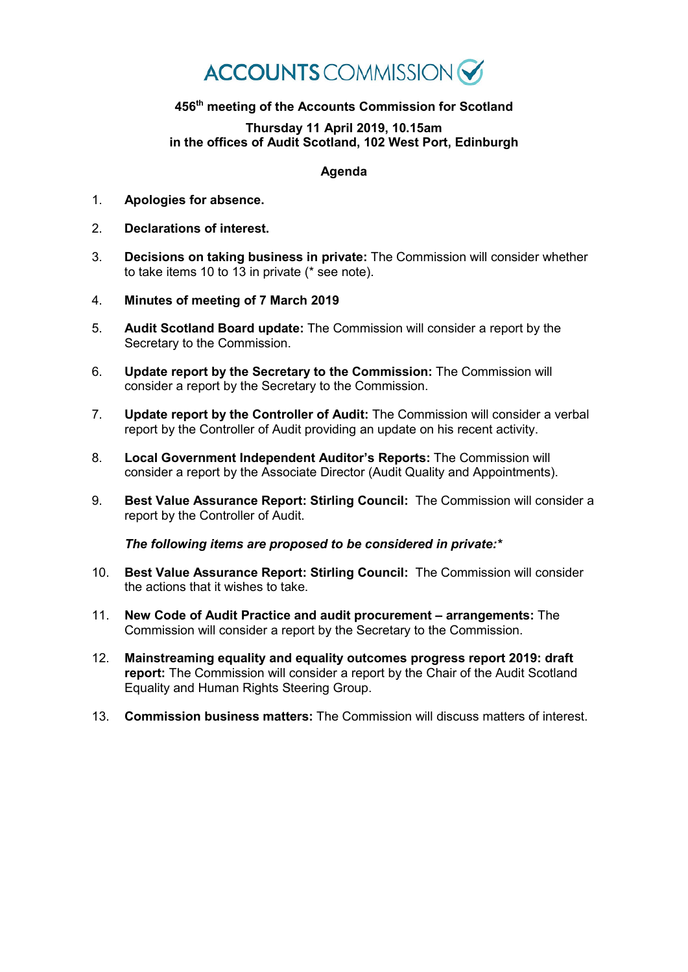## **ACCOUNTS** COMMISSION

## **456th meeting of the Accounts Commission for Scotland**

## **Thursday 11 April 2019, 10.15am in the offices of Audit Scotland, 102 West Port, Edinburgh**

## **Agenda**

- 1. **Apologies for absence.**
- 2. **Declarations of interest.**
- 3. **Decisions on taking business in private:** The Commission will consider whether to take items 10 to 13 in private (\* see note).
- 4. **Minutes of meeting of 7 March 2019**
- 5. **Audit Scotland Board update:** The Commission will consider a report by the Secretary to the Commission.
- 6. **Update report by the Secretary to the Commission:** The Commission will consider a report by the Secretary to the Commission.
- 7. **Update report by the Controller of Audit:** The Commission will consider a verbal report by the Controller of Audit providing an update on his recent activity.
- 8. **Local Government Independent Auditor's Reports:** The Commission will consider a report by the Associate Director (Audit Quality and Appointments).
- 9. **Best Value Assurance Report: Stirling Council:** The Commission will consider a report by the Controller of Audit.

*The following items are proposed to be considered in private:\**

- 10. **Best Value Assurance Report: Stirling Council:** The Commission will consider the actions that it wishes to take.
- 11. **New Code of Audit Practice and audit procurement – arrangements:** The Commission will consider a report by the Secretary to the Commission.
- 12. **Mainstreaming equality and equality outcomes progress report 2019: draft report:** The Commission will consider a report by the Chair of the Audit Scotland Equality and Human Rights Steering Group.
- 13. **Commission business matters:** The Commission will discuss matters of interest.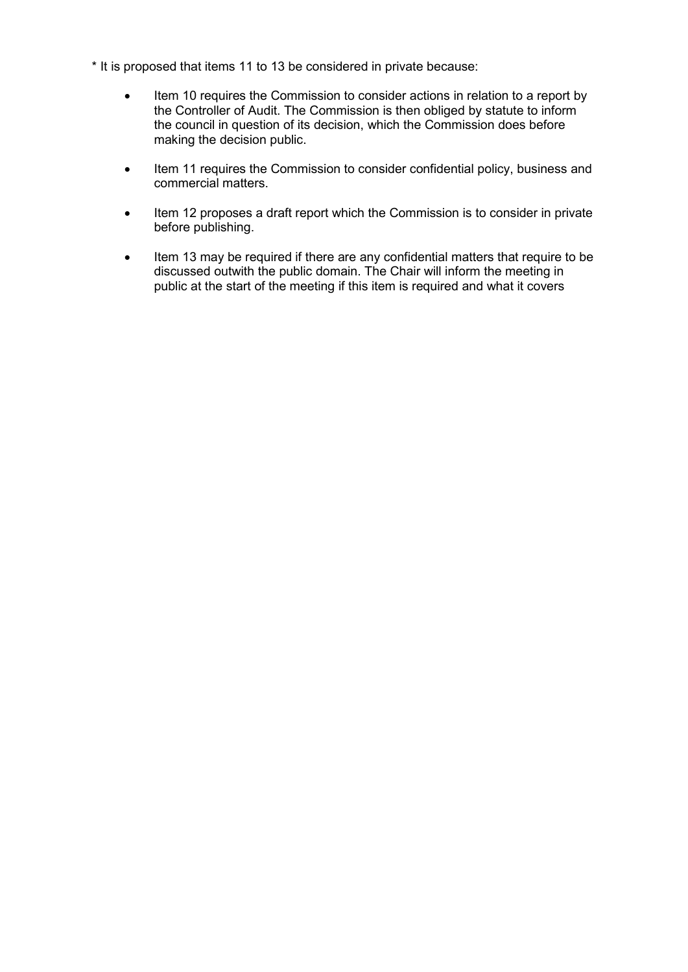- \* It is proposed that items 11 to 13 be considered in private because:
	- Item 10 requires the Commission to consider actions in relation to a report by the Controller of Audit. The Commission is then obliged by statute to inform the council in question of its decision, which the Commission does before making the decision public.
	- Item 11 requires the Commission to consider confidential policy, business and commercial matters.
	- Item 12 proposes a draft report which the Commission is to consider in private before publishing.
	- Item 13 may be required if there are any confidential matters that require to be discussed outwith the public domain. The Chair will inform the meeting in public at the start of the meeting if this item is required and what it covers